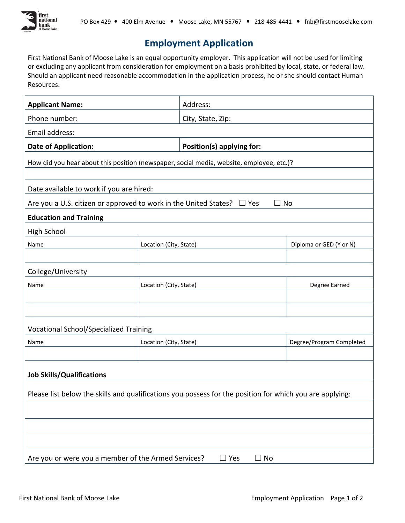

## **Employment Application**

 First National Bank of Moose Lake is an equal opportunity employer. This application will not be used for limiting or excluding any applicant from consideration for employment on a basis prohibited by local, state, or federal law. Should an applicant need reasonable accommodation in the application process, he or she should contact Human Resources.

| <b>Applicant Name:</b>                                                                                   |                        | Address:                  |                          |  |
|----------------------------------------------------------------------------------------------------------|------------------------|---------------------------|--------------------------|--|
| Phone number:                                                                                            |                        | City, State, Zip:         |                          |  |
| Email address:                                                                                           |                        |                           |                          |  |
| <b>Date of Application:</b>                                                                              |                        | Position(s) applying for: |                          |  |
| How did you hear about this position (newspaper, social media, website, employee, etc.)?                 |                        |                           |                          |  |
|                                                                                                          |                        |                           |                          |  |
| Date available to work if you are hired:                                                                 |                        |                           |                          |  |
| Are you a U.S. citizen or approved to work in the United States? $\Box$ Yes<br>$\Box$ No                 |                        |                           |                          |  |
| <b>Education and Training</b>                                                                            |                        |                           |                          |  |
| High School                                                                                              |                        |                           |                          |  |
| Name                                                                                                     | Location (City, State) |                           | Diploma or GED (Y or N)  |  |
|                                                                                                          |                        |                           |                          |  |
| College/University                                                                                       |                        |                           |                          |  |
| Name                                                                                                     | Location (City, State) |                           | Degree Earned            |  |
|                                                                                                          |                        |                           |                          |  |
|                                                                                                          |                        |                           |                          |  |
| <b>Vocational School/Specialized Training</b>                                                            |                        |                           |                          |  |
| Name                                                                                                     | Location (City, State) |                           | Degree/Program Completed |  |
|                                                                                                          |                        |                           |                          |  |
| <b>Job Skills/Qualifications</b>                                                                         |                        |                           |                          |  |
|                                                                                                          |                        |                           |                          |  |
| Please list below the skills and qualifications you possess for the position for which you are applying: |                        |                           |                          |  |
|                                                                                                          |                        |                           |                          |  |
|                                                                                                          |                        |                           |                          |  |
|                                                                                                          |                        |                           |                          |  |
| Are you or were you a member of the Armed Services?<br>$\Box$ Yes<br>$\Box$ No                           |                        |                           |                          |  |